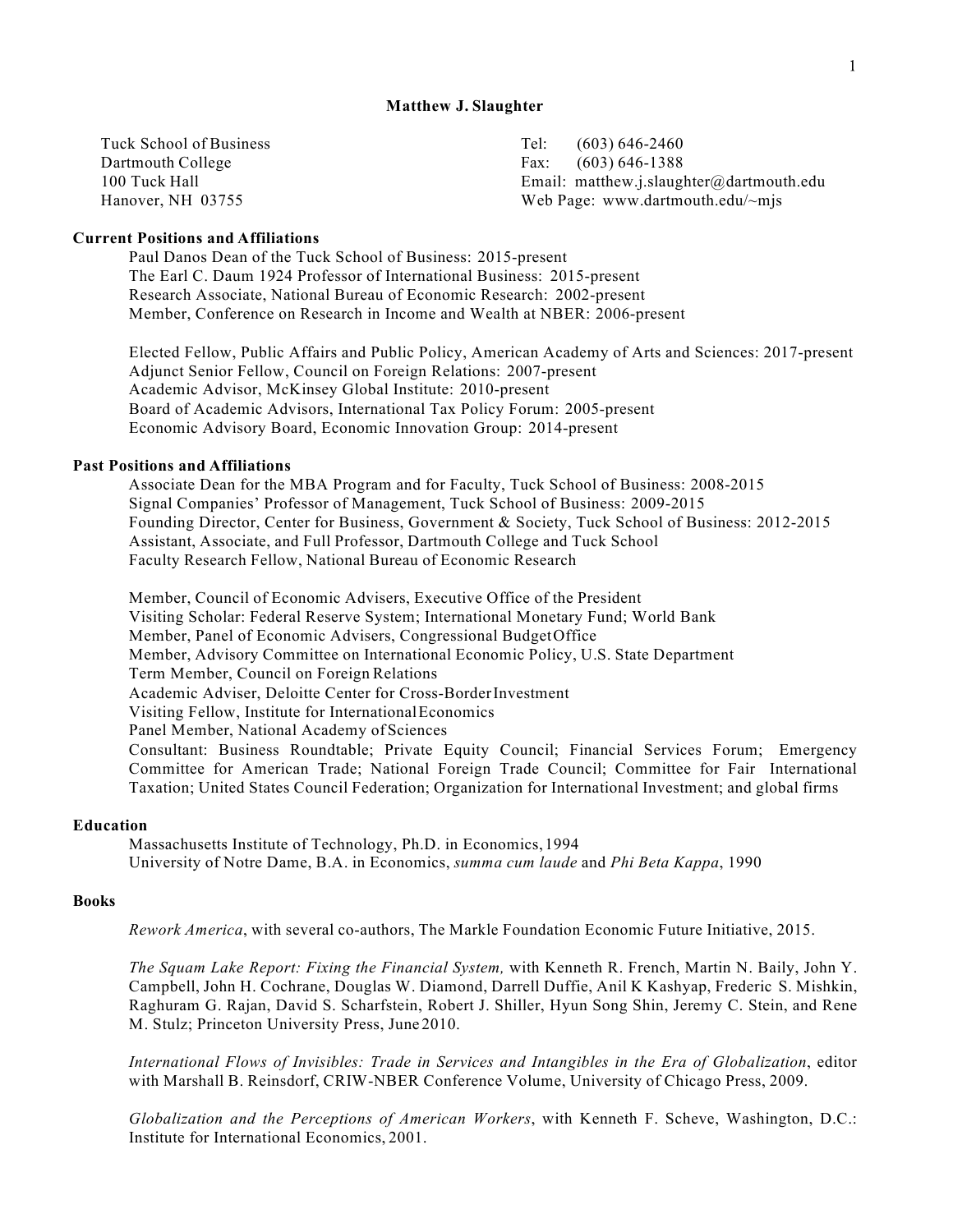#### **Matthew J. Slaughter**

| Tuck School of Business | Tel:<br>$(603)$ 646-2460                 |
|-------------------------|------------------------------------------|
| Dartmouth College       | Fax: $(603) 646 - 1388$                  |
| 100 Tuck Hall           | Email: matthew.j.slaughter@dartmouth.edu |
| Hanover, NH 03755       | Web Page: www.dartmouth.edu/ $\sim$ mjs  |

# **Current Positions and Affiliations**

Paul Danos Dean of the Tuck School of Business: 2015-present The Earl C. Daum 1924 Professor of International Business: 2015-present Research Associate, National Bureau of Economic Research: 2002-present Member, Conference on Research in Income and Wealth at NBER: 2006-present

Elected Fellow, Public Affairs and Public Policy, American Academy of Arts and Sciences: 2017-present Adjunct Senior Fellow, Council on Foreign Relations: 2007-present Academic Advisor, McKinsey Global Institute: 2010-present Board of Academic Advisors, International Tax Policy Forum: 2005-present Economic Advisory Board, Economic Innovation Group: 2014-present

### **Past Positions and Affiliations**

Associate Dean for the MBA Program and for Faculty, Tuck School of Business: 2008-2015 Signal Companies' Professor of Management, Tuck School of Business: 2009-2015 Founding Director, Center for Business, Government & Society, Tuck School of Business: 2012-2015 Assistant, Associate, and Full Professor, Dartmouth College and Tuck School Faculty Research Fellow, National Bureau of Economic Research

Member, Council of Economic Advisers, Executive Office of the President Visiting Scholar: Federal Reserve System; International Monetary Fund; World Bank Member, Panel of Economic Advisers, Congressional BudgetOffice Member, Advisory Committee on International Economic Policy, U.S. State Department Term Member, Council on Foreign Relations Academic Adviser, Deloitte Center for Cross-BorderInvestment Visiting Fellow, Institute for InternationalEconomics Panel Member, National Academy of Sciences Consultant: Business Roundtable; Private Equity Council; Financial Services Forum; Emergency Committee for American Trade; National Foreign Trade Council; Committee for Fair International Taxation; United States Council Federation; Organization for International Investment; and global firms

#### **Education**

Massachusetts Institute of Technology, Ph.D. in Economics, 1994 University of Notre Dame, B.A. in Economics, *summa cum laude* and *Phi Beta Kappa*, 1990

### **Books**

*Rework America*, with several co-authors, The Markle Foundation Economic Future Initiative, 2015.

*The Squam Lake Report: Fixing the Financial System,* with Kenneth R. French, Martin N. Baily, John Y. Campbell, John H. Cochrane, Douglas W. Diamond, Darrell Duffie, Anil K Kashyap, Frederic S. Mishkin, Raghuram G. Rajan, David S. Scharfstein, Robert J. Shiller, Hyun Song Shin, Jeremy C. Stein, and Rene M. Stulz; Princeton University Press, June 2010.

*International Flows of Invisibles: Trade in Services and Intangibles in the Era of Globalization*, editor with Marshall B. Reinsdorf, CRIW-NBER Conference Volume, University of Chicago Press, 2009.

*Globalization and the Perceptions of American Workers*, with Kenneth F. Scheve, Washington, D.C.: Institute for International Economics, 2001.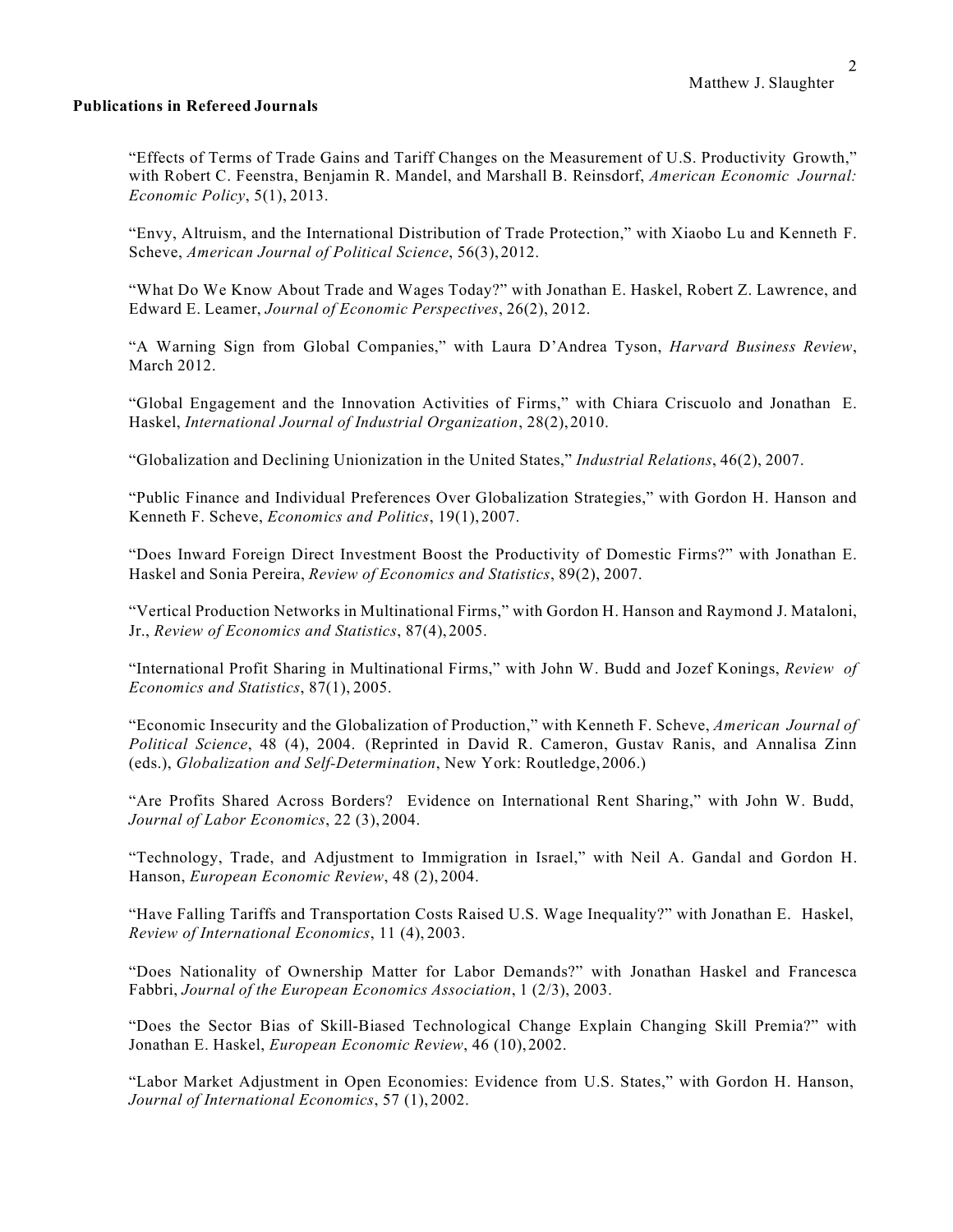# **Publications in Refereed Journals**

"Effects of Terms of Trade Gains and Tariff Changes on the Measurement of U.S. Productivity Growth," with Robert C. Feenstra, Benjamin R. Mandel, and Marshall B. Reinsdorf, *American Economic Journal: Economic Policy*, 5(1), 2013.

"Envy, Altruism, and the International Distribution of Trade Protection," with Xiaobo Lu and Kenneth F. Scheve, *American Journal of Political Science*, 56(3), 2012.

"What Do We Know About Trade and Wages Today?" with Jonathan E. Haskel, Robert Z. Lawrence, and Edward E. Leamer, *Journal of Economic Perspectives*, 26(2), 2012.

"A Warning Sign from Global Companies," with Laura D'Andrea Tyson, *Harvard Business Review*, March 2012.

"Global Engagement and the Innovation Activities of Firms," with Chiara Criscuolo and Jonathan E. Haskel, *International Journal of Industrial Organization*, 28(2),2010.

"Globalization and Declining Unionization in the United States," *Industrial Relations*, 46(2), 2007.

"Public Finance and Individual Preferences Over Globalization Strategies," with Gordon H. Hanson and Kenneth F. Scheve, *Economics and Politics*, 19(1), 2007.

"Does Inward Foreign Direct Investment Boost the Productivity of Domestic Firms?" with Jonathan E. Haskel and Sonia Pereira, *Review of Economics and Statistics*, 89(2), 2007.

"Vertical Production Networks in Multinational Firms," with Gordon H. Hanson and Raymond J. Mataloni, Jr., *Review of Economics and Statistics*, 87(4), 2005.

"International Profit Sharing in Multinational Firms," with John W. Budd and Jozef Konings, *Review of Economics and Statistics*, 87(1), 2005.

"Economic Insecurity and the Globalization of Production," with Kenneth F. Scheve, *American Journal of Political Science*, 48 (4), 2004. (Reprinted in David R. Cameron, Gustav Ranis, and Annalisa Zinn (eds.), *Globalization and Self-Determination*, New York: Routledge,2006.)

"Are Profits Shared Across Borders? Evidence on International Rent Sharing," with John W. Budd, *Journal of Labor Economics*, 22 (3), 2004.

"Technology, Trade, and Adjustment to Immigration in Israel," with Neil A. Gandal and Gordon H. Hanson, *European Economic Review*, 48 (2), 2004.

"Have Falling Tariffs and Transportation Costs Raised U.S. Wage Inequality?" with Jonathan E. Haskel, *Review of International Economics*, 11 (4), 2003.

"Does Nationality of Ownership Matter for Labor Demands?" with Jonathan Haskel and Francesca Fabbri, *Journal of the European Economics Association*, 1 (2/3), 2003.

"Does the Sector Bias of Skill-Biased Technological Change Explain Changing Skill Premia?" with Jonathan E. Haskel, *European Economic Review*, 46 (10),2002.

"Labor Market Adjustment in Open Economies: Evidence from U.S. States," with Gordon H. Hanson, *Journal of International Economics*, 57 (1), 2002.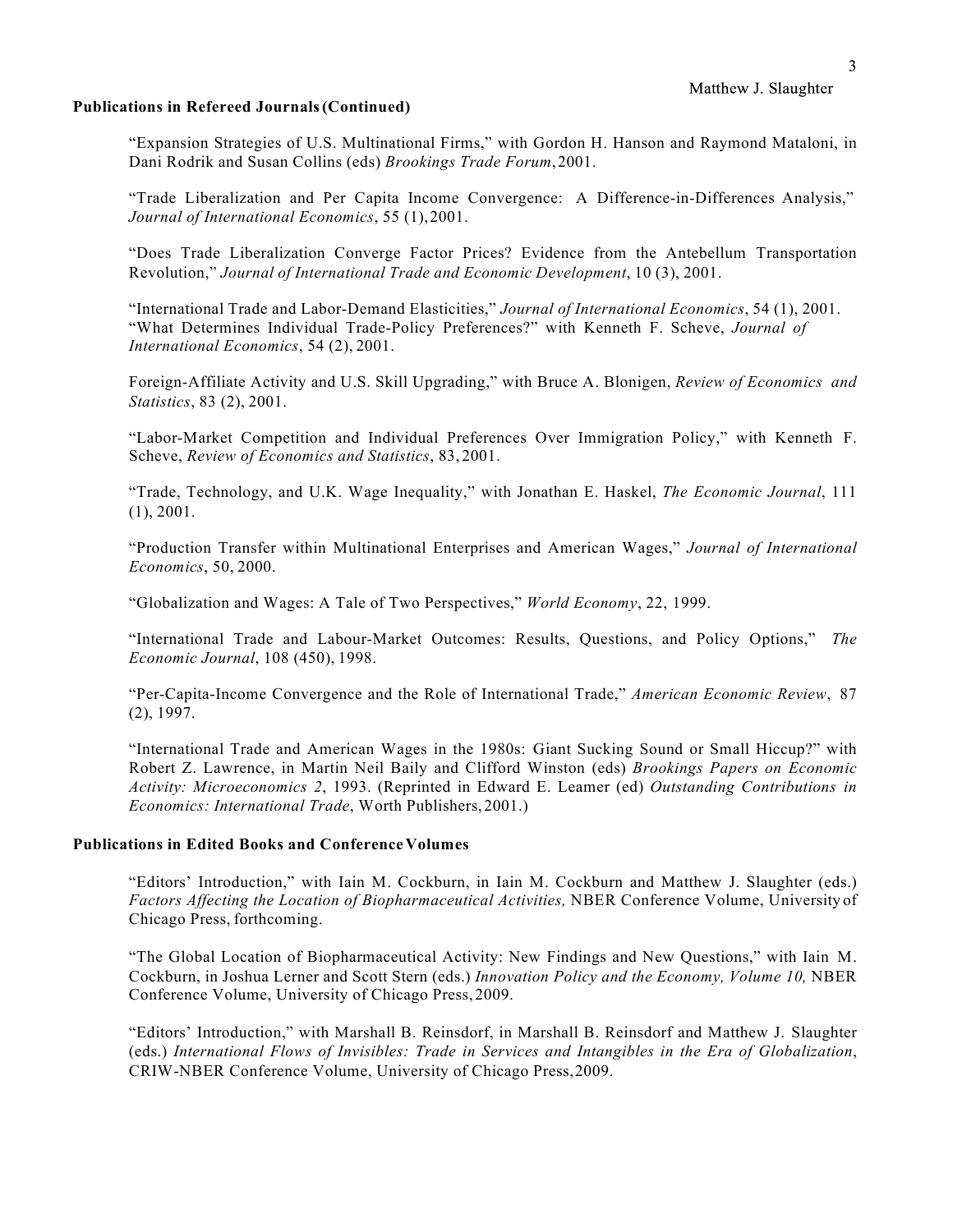### **Publications in Refereed Journals(Continued)**

"Expansion Strategies of U.S. Multinational Firms," with Gordon H. Hanson and Raymond Mataloni, in Dani Rodrik and Susan Collins (eds) *Brookings Trade Forum*,2001.

"Trade Liberalization and Per Capita Income Convergence: A Difference-in-Differences Analysis," *Journal of International Economics*, 55 (1),2001.

"Does Trade Liberalization Converge Factor Prices? Evidence from the Antebellum Transportation Revolution," *Journal of International Trade and Economic Development*, 10 (3), 2001.

"International Trade and Labor-Demand Elasticities," *Journal of International Economics*, 54 (1), 2001. "What Determines Individual Trade-Policy Preferences?" with Kenneth F. Scheve, *Journal of International Economics*, 54 (2), 2001.

Foreign-Affiliate Activity and U.S. Skill Upgrading," with Bruce A. Blonigen, *Review of Economics and Statistics*, 83 (2), 2001.

"Labor-Market Competition and Individual Preferences Over Immigration Policy," with Kenneth F. Scheve, *Review of Economics and Statistics*, 83, 2001.

"Trade, Technology, and U.K. Wage Inequality," with Jonathan E. Haskel, *The Economic Journal*, 111 (1), 2001.

"Production Transfer within Multinational Enterprises and American Wages," *Journal of International Economics*, 50, 2000.

"Globalization and Wages: A Tale of Two Perspectives," *World Economy*, 22, 1999.

"International Trade and Labour-Market Outcomes: Results, Questions, and Policy Options," *The Economic Journal*, 108 (450), 1998.

"Per-Capita-Income Convergence and the Role of International Trade," *American Economic Review*, 87 (2), 1997.

"International Trade and American Wages in the 1980s: Giant Sucking Sound or Small Hiccup?" with Robert Z. Lawrence, in Martin Neil Baily and Clifford Winston (eds) *Brookings Papers on Economic Activity: Microeconomics 2*, 1993. (Reprinted in Edward E. Leamer (ed) *Outstanding Contributions in Economics: International Trade*, Worth Publishers, 2001.)

# **Publications in Edited Books and ConferenceVolumes**

"Editors' Introduction," with Iain M. Cockburn, in Iain M. Cockburn and Matthew J. Slaughter (eds.) *Factors Affecting the Location of Biopharmaceutical Activities,* NBER Conference Volume, University of Chicago Press, forthcoming.

"The Global Location of Biopharmaceutical Activity: New Findings and New Questions," with Iain M. Cockburn, in Joshua Lerner and Scott Stern (eds.) *Innovation Policy and the Economy, Volume 10,* NBER Conference Volume, University of Chicago Press, 2009.

"Editors' Introduction," with Marshall B. Reinsdorf, in Marshall B. Reinsdorf and Matthew J. Slaughter (eds.) *International Flows of Invisibles: Trade in Services and Intangibles in the Era of Globalization*, CRIW-NBER Conference Volume, University of Chicago Press,2009.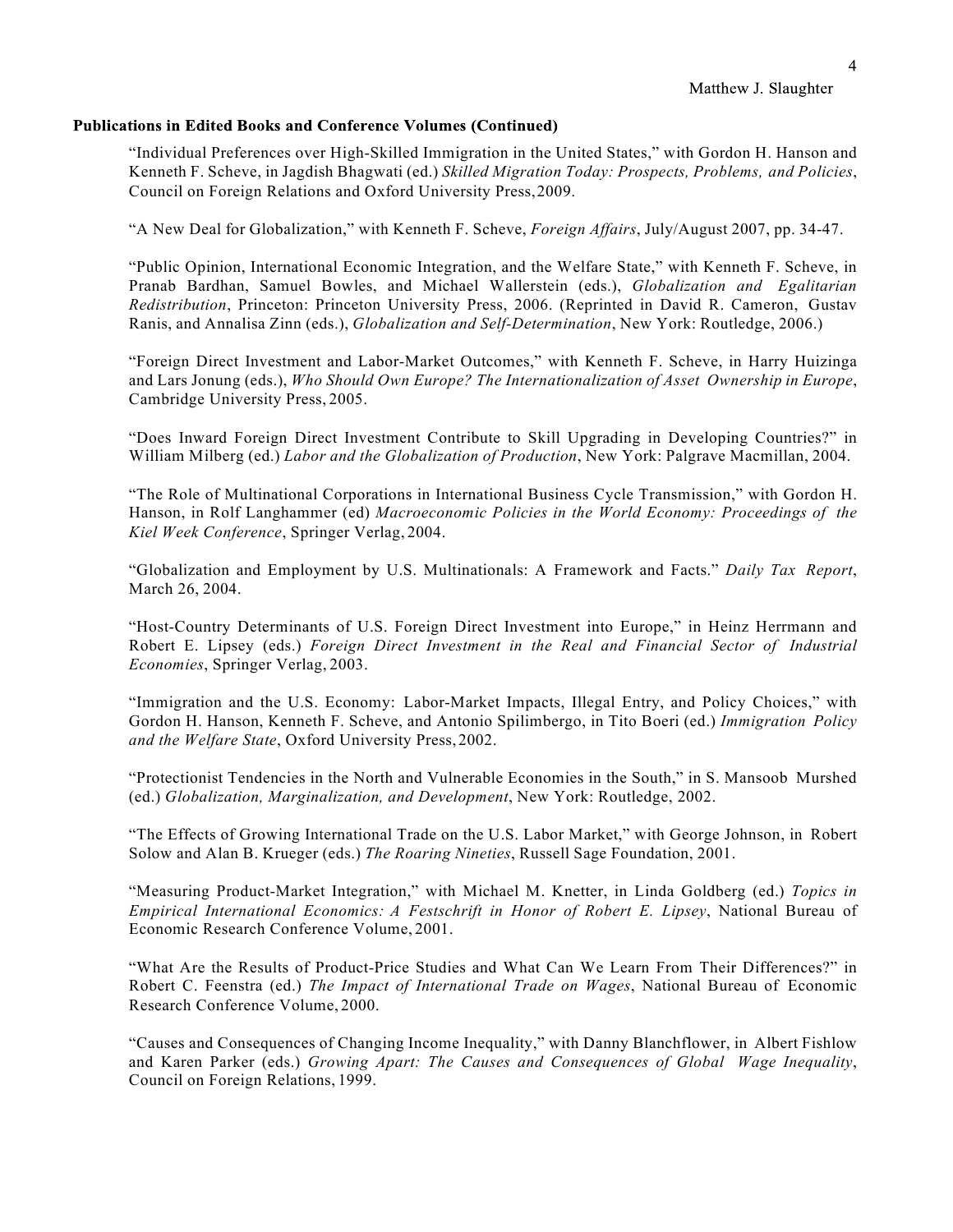#### **Publications in Edited Books and Conference Volumes (Continued)**

"Individual Preferences over High-Skilled Immigration in the United States," with Gordon H. Hanson and Kenneth F. Scheve, in Jagdish Bhagwati (ed.) *Skilled Migration Today: Prospects, Problems, and Policies*, Council on Foreign Relations and Oxford University Press,2009.

"A New Deal for Globalization," with Kenneth F. Scheve, *Foreign Affairs*, July/August 2007, pp. 34-47.

"Public Opinion, International Economic Integration, and the Welfare State," with Kenneth F. Scheve, in Pranab Bardhan, Samuel Bowles, and Michael Wallerstein (eds.), *Globalization and Egalitarian Redistribution*, Princeton: Princeton University Press, 2006. (Reprinted in David R. Cameron, Gustav Ranis, and Annalisa Zinn (eds.), *Globalization and Self-Determination*, New York: Routledge, 2006.)

"Foreign Direct Investment and Labor-Market Outcomes," with Kenneth F. Scheve, in Harry Huizinga and Lars Jonung (eds.), *Who Should Own Europe? The Internationalization of Asset Ownership in Europe*, Cambridge University Press, 2005.

"Does Inward Foreign Direct Investment Contribute to Skill Upgrading in Developing Countries?" in William Milberg (ed.) *Labor and the Globalization of Production*, New York: Palgrave Macmillan, 2004.

"The Role of Multinational Corporations in International Business Cycle Transmission," with Gordon H. Hanson, in Rolf Langhammer (ed) *Macroeconomic Policies in the World Economy: Proceedings of the Kiel Week Conference*, Springer Verlag, 2004.

"Globalization and Employment by U.S. Multinationals: A Framework and Facts." *Daily Tax Report*, March 26, 2004.

"Host-Country Determinants of U.S. Foreign Direct Investment into Europe," in Heinz Herrmann and Robert E. Lipsey (eds.) *Foreign Direct Investment in the Real and Financial Sector of Industrial Economies*, Springer Verlag, 2003.

"Immigration and the U.S. Economy: Labor-Market Impacts, Illegal Entry, and Policy Choices," with Gordon H. Hanson, Kenneth F. Scheve, and Antonio Spilimbergo, in Tito Boeri (ed.) *Immigration Policy and the Welfare State*, Oxford University Press, 2002.

"Protectionist Tendencies in the North and Vulnerable Economies in the South," in S. Mansoob Murshed (ed.) *Globalization, Marginalization, and Development*, New York: Routledge, 2002.

"The Effects of Growing International Trade on the U.S. Labor Market," with George Johnson, in Robert Solow and Alan B. Krueger (eds.) *The Roaring Nineties*, Russell Sage Foundation, 2001.

"Measuring Product-Market Integration," with Michael M. Knetter, in Linda Goldberg (ed.) *Topics in Empirical International Economics: A Festschrift in Honor of Robert E. Lipsey*, National Bureau of Economic Research Conference Volume, 2001.

"What Are the Results of Product-Price Studies and What Can We Learn From Their Differences?" in Robert C. Feenstra (ed.) *The Impact of International Trade on Wages*, National Bureau of Economic Research Conference Volume, 2000.

"Causes and Consequences of Changing Income Inequality," with Danny Blanchflower, in Albert Fishlow and Karen Parker (eds.) *Growing Apart: The Causes and Consequences of Global Wage Inequality*, Council on Foreign Relations, 1999.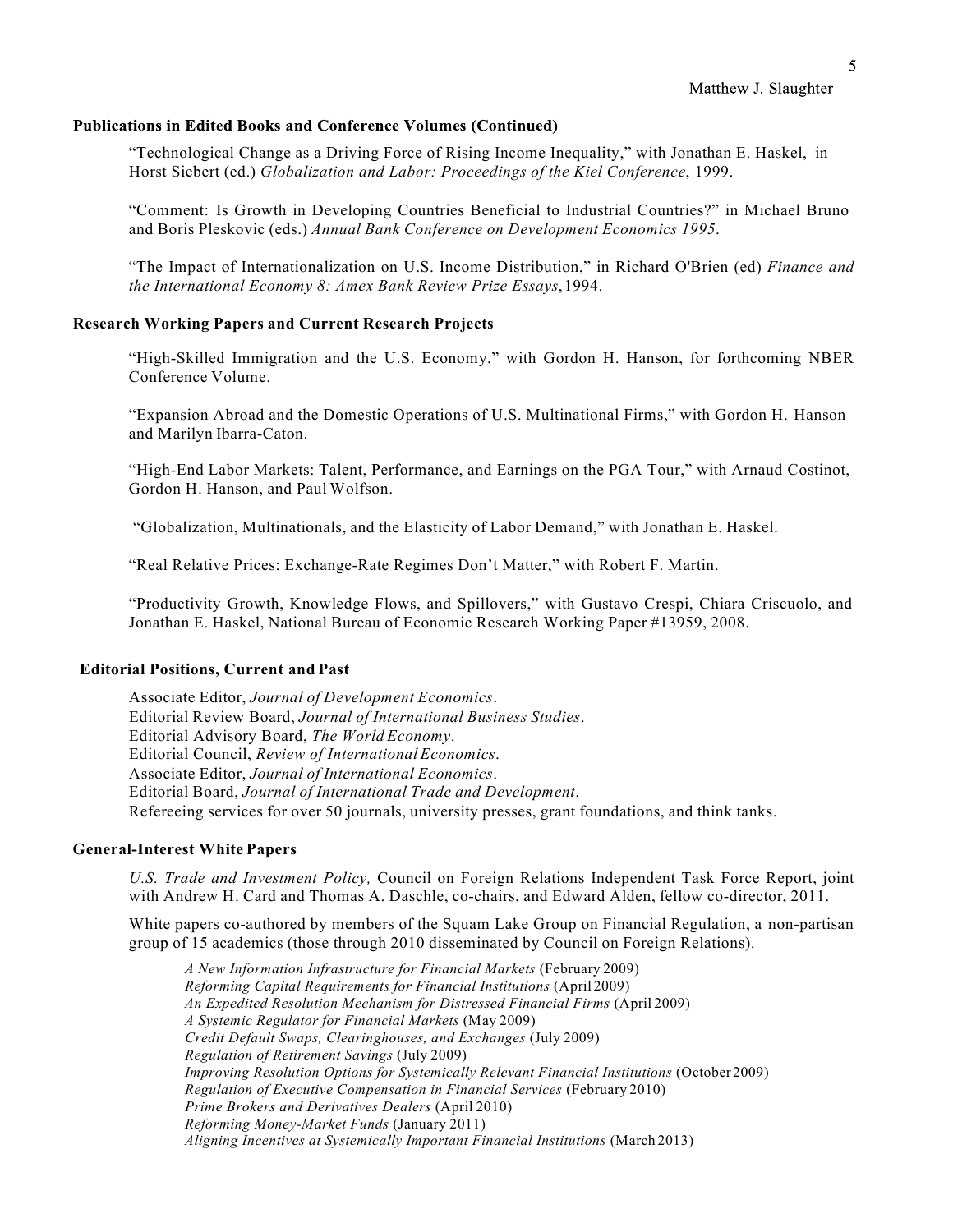#### **Publications in Edited Books and Conference Volumes (Continued)**

"Technological Change as a Driving Force of Rising Income Inequality," with Jonathan E. Haskel, in Horst Siebert (ed.) *Globalization and Labor: Proceedings of the Kiel Conference*, 1999.

"Comment: Is Growth in Developing Countries Beneficial to Industrial Countries?" in Michael Bruno and Boris Pleskovic (eds.) *Annual Bank Conference on Development Economics 1995*.

"The Impact of Internationalization on U.S. Income Distribution," in Richard O'Brien (ed) *Finance and the International Economy 8: Amex Bank Review Prize Essays*,1994.

# **Research Working Papers and Current Research Projects**

"High-Skilled Immigration and the U.S. Economy," with Gordon H. Hanson, for forthcoming NBER Conference Volume.

"Expansion Abroad and the Domestic Operations of U.S. Multinational Firms," with Gordon H. Hanson and Marilyn Ibarra-Caton.

"High-End Labor Markets: Talent, Performance, and Earnings on the PGA Tour," with Arnaud Costinot, Gordon H. Hanson, and Paul Wolfson.

"Globalization, Multinationals, and the Elasticity of Labor Demand," with Jonathan E. Haskel.

"Real Relative Prices: Exchange-Rate Regimes Don't Matter," with Robert F. Martin.

"Productivity Growth, Knowledge Flows, and Spillovers," with Gustavo Crespi, Chiara Criscuolo, and Jonathan E. Haskel, National Bureau of Economic Research Working Paper #13959, 2008.

# **Editorial Positions, Current and Past**

Associate Editor, *Journal of Development Economics*. Editorial Review Board, *Journal of International Business Studies*. Editorial Advisory Board, *The World Economy*. Editorial Council, *Review of International Economics*. Associate Editor, *Journal of International Economics*. Editorial Board, *Journal of International Trade and Development*. Refereeing services for over 50 journals, university presses, grant foundations, and think tanks.

#### **General-Interest White Papers**

*U.S. Trade and Investment Policy,* Council on Foreign Relations Independent Task Force Report, joint with Andrew H. Card and Thomas A. Daschle, co-chairs, and Edward Alden, fellow co-director, 2011.

White papers co-authored by members of the Squam Lake Group on Financial Regulation, a non-partisan group of 15 academics (those through 2010 disseminated by Council on Foreign Relations).

*A New Information Infrastructure for Financial Markets* (February 2009) *Reforming Capital Requirements for Financial Institutions* (April 2009) *An Expedited Resolution Mechanism for Distressed Financial Firms* (April 2009) *A Systemic Regulator for Financial Markets* (May 2009) *Credit Default Swaps, Clearinghouses, and Exchanges* (July 2009) *Regulation of Retirement Savings* (July 2009) *Improving Resolution Options for Systemically Relevant Financial Institutions* (October 2009) *Regulation of Executive Compensation in Financial Services* (February 2010) *Prime Brokers and Derivatives Dealers* (April 2010) *Reforming Money-Market Funds* (January 2011) *Aligning Incentives at Systemically Important Financial Institutions* (March 2013)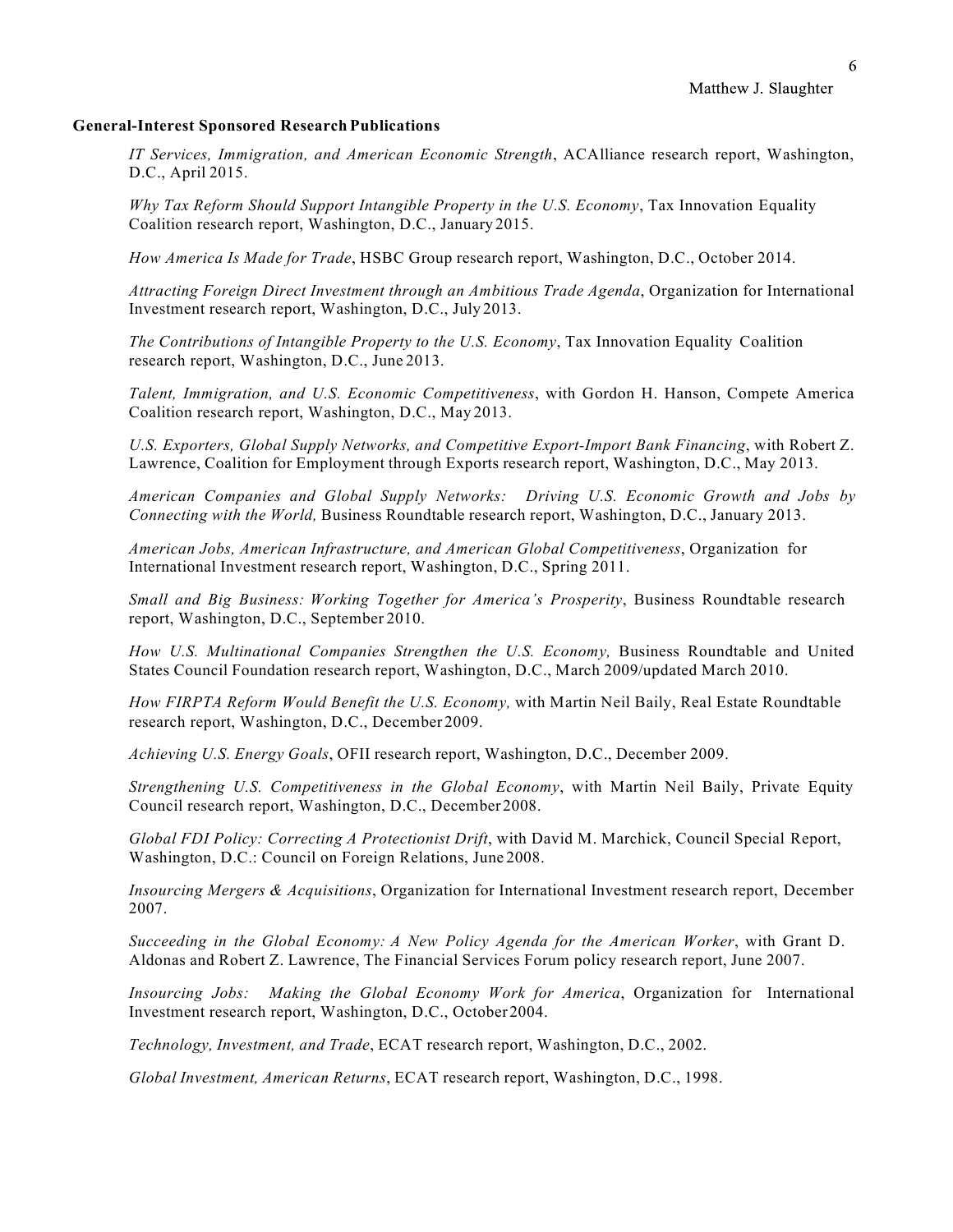#### **General-Interest Sponsored Research Publications**

*IT Services, Immigration, and American Economic Strength*, ACAlliance research report, Washington, D.C., April 2015.

*Why Tax Reform Should Support Intangible Property in the U.S. Economy*, Tax Innovation Equality Coalition research report, Washington, D.C., January 2015.

*How America Is Made for Trade*, HSBC Group research report, Washington, D.C., October 2014.

*Attracting Foreign Direct Investment through an Ambitious Trade Agenda*, Organization for International Investment research report, Washington, D.C., July 2013.

*The Contributions of Intangible Property to the U.S. Economy*, Tax Innovation Equality Coalition research report, Washington, D.C., June 2013.

*Talent, Immigration, and U.S. Economic Competitiveness*, with Gordon H. Hanson, Compete America Coalition research report, Washington, D.C., May 2013.

*U.S. Exporters, Global Supply Networks, and Competitive Export-Import Bank Financing*, with Robert Z. Lawrence, Coalition for Employment through Exports research report, Washington, D.C., May 2013.

*American Companies and Global Supply Networks: Driving U.S. Economic Growth and Jobs by Connecting with the World,* Business Roundtable research report, Washington, D.C., January 2013.

*American Jobs, American Infrastructure, and American Global Competitiveness*, Organization for International Investment research report, Washington, D.C., Spring 2011.

*Small and Big Business: Working Together for America's Prosperity*, Business Roundtable research report, Washington, D.C., September 2010.

*How U.S. Multinational Companies Strengthen the U.S. Economy,* Business Roundtable and United States Council Foundation research report, Washington, D.C., March 2009/updated March 2010.

*How FIRPTA Reform Would Benefit the U.S. Economy,* with Martin Neil Baily, Real Estate Roundtable research report, Washington, D.C., December 2009.

*Achieving U.S. Energy Goals*, OFII research report, Washington, D.C., December 2009.

*Strengthening U.S. Competitiveness in the Global Economy*, with Martin Neil Baily, Private Equity Council research report, Washington, D.C., December2008.

*Global FDI Policy: Correcting A Protectionist Drift*, with David M. Marchick, Council Special Report, Washington, D.C.: Council on Foreign Relations, June 2008.

*Insourcing Mergers & Acquisitions*, Organization for International Investment research report, December 2007.

*Succeeding in the Global Economy: A New Policy Agenda for the American Worker*, with Grant D. Aldonas and Robert Z. Lawrence, The Financial Services Forum policy research report, June 2007.

*Insourcing Jobs: Making the Global Economy Work for America*, Organization for International Investment research report, Washington, D.C., October2004.

*Technology, Investment, and Trade*, ECAT research report, Washington, D.C., 2002.

*Global Investment, American Returns*, ECAT research report, Washington, D.C., 1998.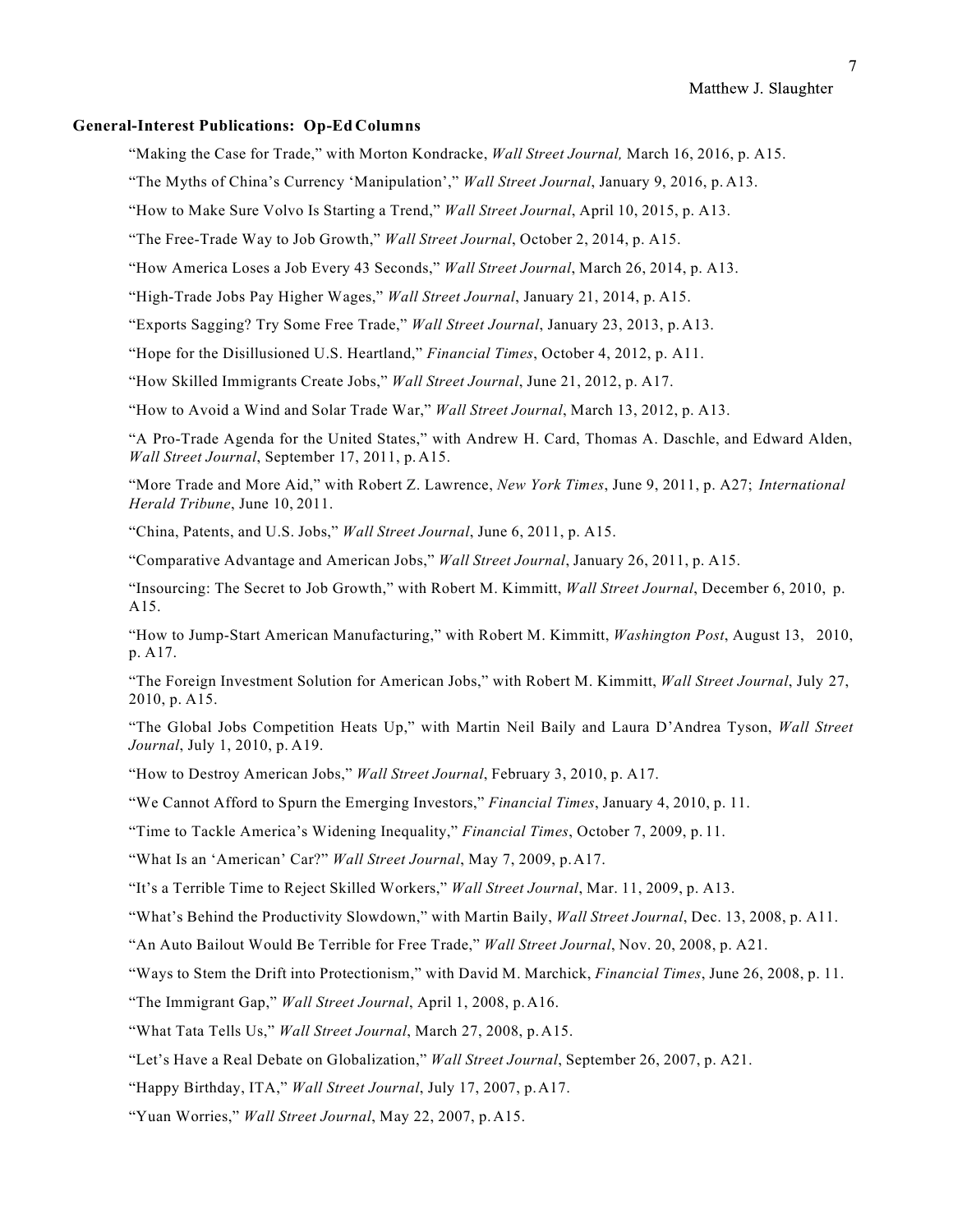Matthew J. Slaughter

### **General-Interest Publications: Op-Ed Columns**

"Making the Case for Trade," with Morton Kondracke, *Wall Street Journal,* March 16, 2016, p. A15.

"The Myths of China's Currency 'Manipulation'," *Wall Street Journal*, January 9, 2016, p. A13.

"How to Make Sure Volvo Is Starting a Trend," *Wall Street Journal*, April 10, 2015, p. A13.

"The Free-Trade Way to Job Growth," *Wall Street Journal*, October 2, 2014, p. A15.

"How America Loses a Job Every 43 Seconds," *Wall Street Journal*, March 26, 2014, p. A13.

"High-Trade Jobs Pay Higher Wages," *Wall Street Journal*, January 21, 2014, p. A15.

"Exports Sagging? Try Some Free Trade," *Wall Street Journal*, January 23, 2013, p. A13.

"Hope for the Disillusioned U.S. Heartland," *Financial Times*, October 4, 2012, p. A11.

"How Skilled Immigrants Create Jobs," *Wall Street Journal*, June 21, 2012, p. A17.

"How to Avoid a Wind and Solar Trade War," *Wall Street Journal*, March 13, 2012, p. A13.

"A Pro-Trade Agenda for the United States," with Andrew H. Card, Thomas A. Daschle, and Edward Alden, *Wall Street Journal*, September 17, 2011, p.A15.

"More Trade and More Aid," with Robert Z. Lawrence, *New York Times*, June 9, 2011, p. A27; *International Herald Tribune*, June 10, 2011.

"China, Patents, and U.S. Jobs," *Wall Street Journal*, June 6, 2011, p. A15.

"Comparative Advantage and American Jobs," *Wall Street Journal*, January 26, 2011, p. A15.

"Insourcing: The Secret to Job Growth," with Robert M. Kimmitt, *Wall Street Journal*, December 6, 2010, p. A15.

"How to Jump-Start American Manufacturing," with Robert M. Kimmitt, *Washington Post*, August 13, 2010, p. A17.

"The Foreign Investment Solution for American Jobs," with Robert M. Kimmitt, *Wall Street Journal*, July 27, 2010, p. A15.

"The Global Jobs Competition Heats Up," with Martin Neil Baily and Laura D'Andrea Tyson, *Wall Street Journal*, July 1, 2010, p. A19.

"How to Destroy American Jobs," *Wall Street Journal*, February 3, 2010, p. A17.

"We Cannot Afford to Spurn the Emerging Investors," *Financial Times*, January 4, 2010, p. 11.

"Time to Tackle America's Widening Inequality," *Financial Times*, October 7, 2009, p. 11.

"What Is an 'American' Car?" *Wall Street Journal*, May 7, 2009, p.A17.

"It's a Terrible Time to Reject Skilled Workers," *Wall Street Journal*, Mar. 11, 2009, p. A13.

"What's Behind the Productivity Slowdown," with Martin Baily, *Wall Street Journal*, Dec. 13, 2008, p. A11.

"An Auto Bailout Would Be Terrible for Free Trade," *Wall Street Journal*, Nov. 20, 2008, p. A21.

"Ways to Stem the Drift into Protectionism," with David M. Marchick, *Financial Times*, June 26, 2008, p. 11.

"The Immigrant Gap," *Wall Street Journal*, April 1, 2008, p.A16.

"What Tata Tells Us," *Wall Street Journal*, March 27, 2008, p.A15.

"Let's Have a Real Debate on Globalization," *Wall Street Journal*, September 26, 2007, p. A21.

"Happy Birthday, ITA," *Wall Street Journal*, July 17, 2007, p.A17.

"Yuan Worries," *Wall Street Journal*, May 22, 2007, p.A15.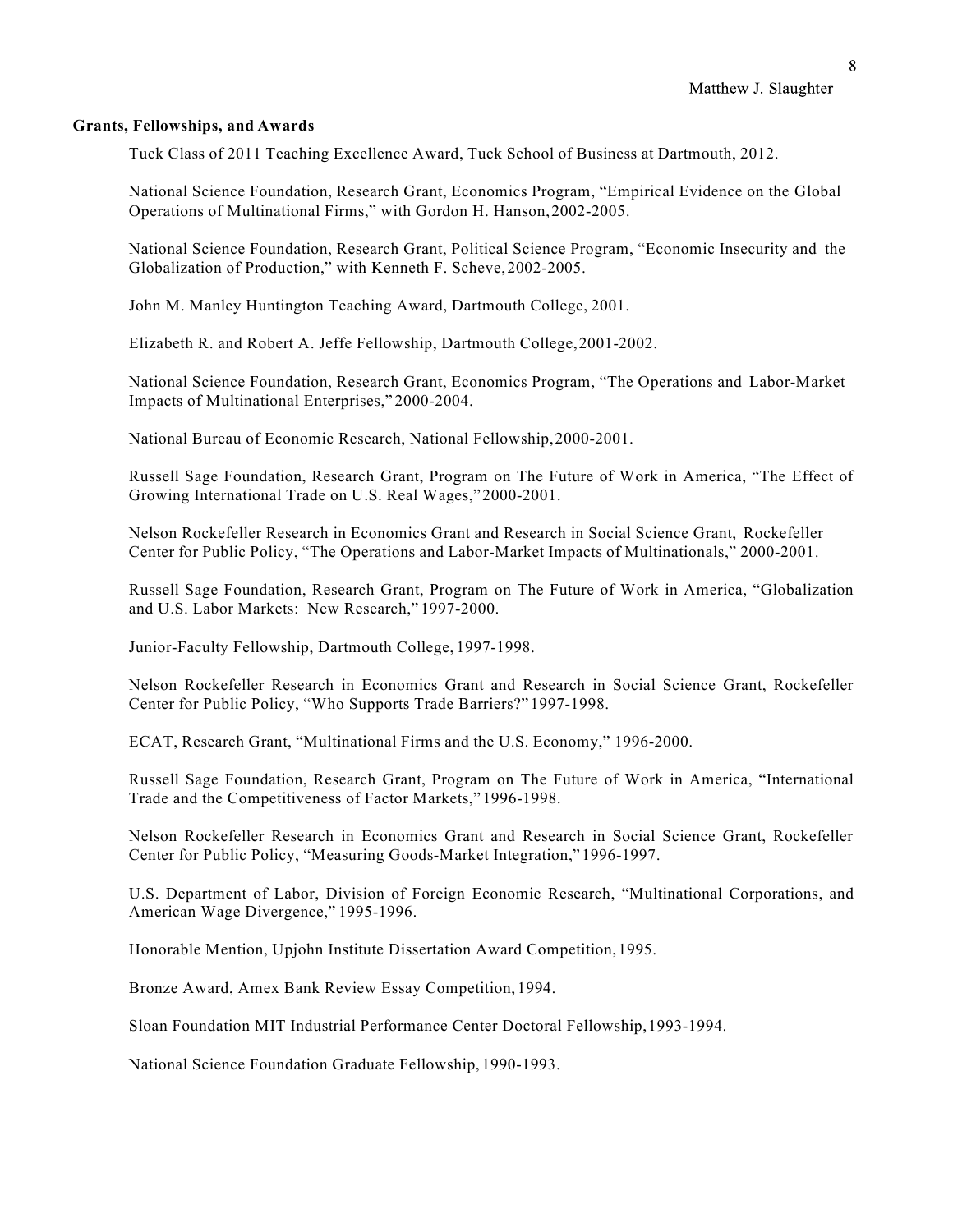### **Grants, Fellowships, and Awards**

Tuck Class of 2011 Teaching Excellence Award, Tuck School of Business at Dartmouth, 2012.

National Science Foundation, Research Grant, Economics Program, "Empirical Evidence on the Global Operations of Multinational Firms," with Gordon H. Hanson,2002-2005.

National Science Foundation, Research Grant, Political Science Program, "Economic Insecurity and the Globalization of Production," with Kenneth F. Scheve,2002-2005.

John M. Manley Huntington Teaching Award, Dartmouth College, 2001.

Elizabeth R. and Robert A. Jeffe Fellowship, Dartmouth College,2001-2002.

National Science Foundation, Research Grant, Economics Program, "The Operations and Labor-Market Impacts of Multinational Enterprises," 2000-2004.

National Bureau of Economic Research, National Fellowship,2000-2001.

Russell Sage Foundation, Research Grant, Program on The Future of Work in America, "The Effect of Growing International Trade on U.S. Real Wages," 2000-2001.

Nelson Rockefeller Research in Economics Grant and Research in Social Science Grant, Rockefeller Center for Public Policy, "The Operations and Labor-Market Impacts of Multinationals," 2000-2001.

Russell Sage Foundation, Research Grant, Program on The Future of Work in America, "Globalization and U.S. Labor Markets: New Research," 1997-2000.

Junior-Faculty Fellowship, Dartmouth College, 1997-1998.

Nelson Rockefeller Research in Economics Grant and Research in Social Science Grant, Rockefeller Center for Public Policy, "Who Supports Trade Barriers?" 1997-1998.

ECAT, Research Grant, "Multinational Firms and the U.S. Economy," 1996-2000.

Russell Sage Foundation, Research Grant, Program on The Future of Work in America, "International Trade and the Competitiveness of Factor Markets," 1996-1998.

Nelson Rockefeller Research in Economics Grant and Research in Social Science Grant, Rockefeller Center for Public Policy, "Measuring Goods-Market Integration,"1996-1997.

U.S. Department of Labor, Division of Foreign Economic Research, "Multinational Corporations, and American Wage Divergence," 1995-1996.

Honorable Mention, Upjohn Institute Dissertation Award Competition,1995.

Bronze Award, Amex Bank Review Essay Competition, 1994.

Sloan Foundation MIT Industrial Performance Center Doctoral Fellowship,1993-1994.

National Science Foundation Graduate Fellowship, 1990-1993.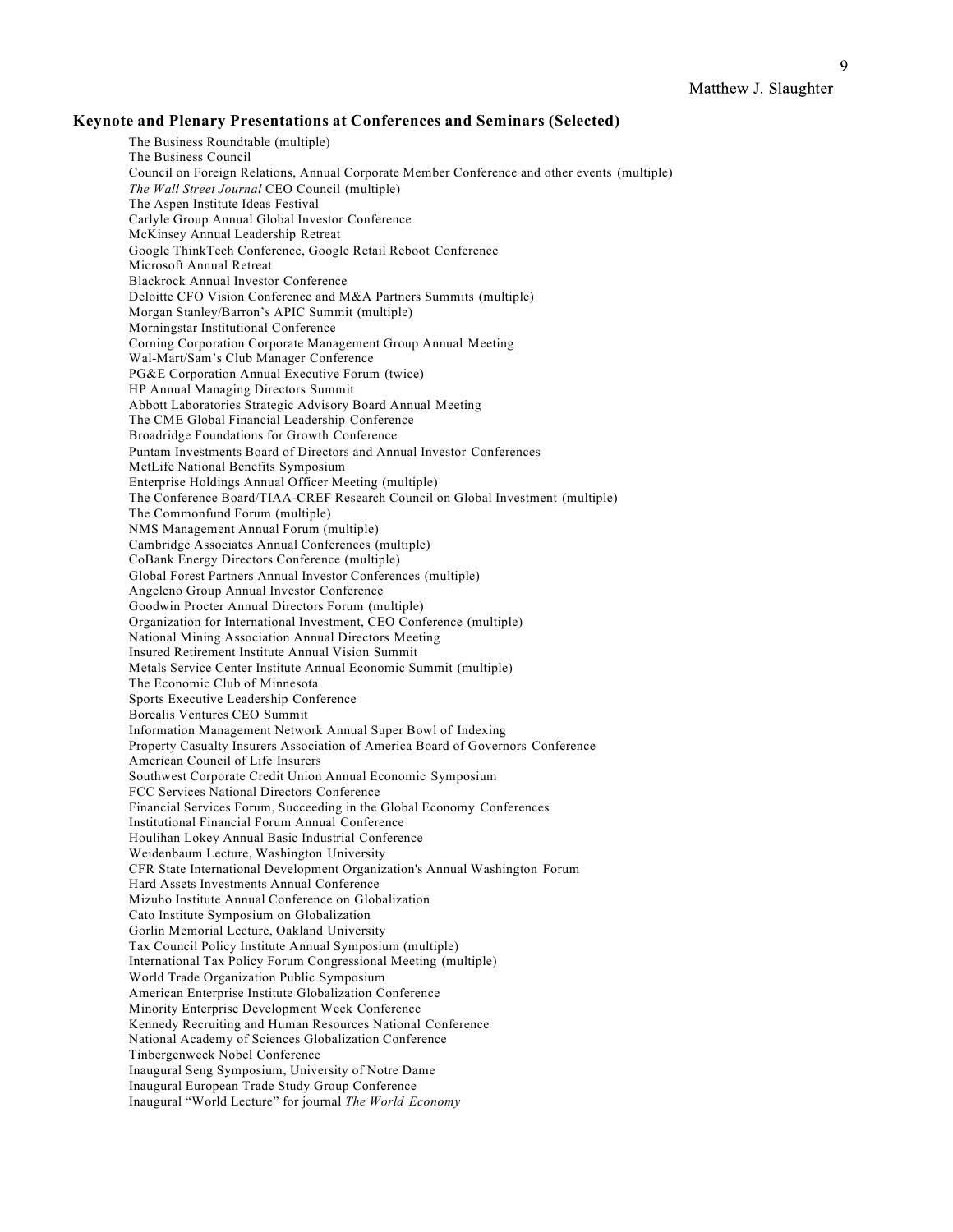$\mathbf Q$ 

# **Keynote and Plenary Presentations at Conferences and Seminars (Selected)**

The Business Roundtable (multiple) The Business Council Council on Foreign Relations, Annual Corporate Member Conference and other events (multiple) *The Wall Street Journal* CEO Council (multiple) The Aspen Institute Ideas Festival Carlyle Group Annual Global Investor Conference McKinsey Annual Leadership Retreat Google ThinkTech Conference, Google Retail Reboot Conference Microsoft Annual Retreat Blackrock Annual Investor Conference Deloitte CFO Vision Conference and M&A Partners Summits (multiple) Morgan Stanley/Barron's APIC Summit (multiple) Morningstar Institutional Conference Corning Corporation Corporate Management Group Annual Meeting Wal-Mart/Sam's Club Manager Conference PG&E Corporation Annual Executive Forum (twice) HP Annual Managing Directors Summit Abbott Laboratories Strategic Advisory Board Annual Meeting The CME Global Financial Leadership Conference Broadridge Foundations for Growth Conference Puntam Investments Board of Directors and Annual Investor Conferences MetLife National Benefits Symposium Enterprise Holdings Annual Officer Meeting (multiple) The Conference Board/TIAA-CREF Research Council on Global Investment (multiple) The Commonfund Forum (multiple) NMS Management Annual Forum (multiple) Cambridge Associates Annual Conferences (multiple) CoBank Energy Directors Conference (multiple) Global Forest Partners Annual Investor Conferences (multiple) Angeleno Group Annual Investor Conference Goodwin Procter Annual Directors Forum (multiple) Organization for International Investment, CEO Conference (multiple) National Mining Association Annual Directors Meeting Insured Retirement Institute Annual Vision Summit Metals Service Center Institute Annual Economic Summit (multiple) The Economic Club of Minnesota Sports Executive Leadership Conference Borealis Ventures CEO Summit Information Management Network Annual Super Bowl of Indexing Property Casualty Insurers Association of America Board of Governors Conference American Council of Life Insurers Southwest Corporate Credit Union Annual Economic Symposium FCC Services National Directors Conference Financial Services Forum, Succeeding in the Global Economy Conferences Institutional Financial Forum Annual Conference Houlihan Lokey Annual Basic Industrial Conference Weidenbaum Lecture, Washington University CFR State International Development Organization's Annual Washington Forum Hard Assets Investments Annual Conference Mizuho Institute Annual Conference on Globalization Cato Institute Symposium on Globalization Gorlin Memorial Lecture, Oakland University Tax Council Policy Institute Annual Symposium (multiple) International Tax Policy Forum Congressional Meeting (multiple) World Trade Organization Public Symposium American Enterprise Institute Globalization Conference Minority Enterprise Development Week Conference Kennedy Recruiting and Human Resources National Conference National Academy of Sciences Globalization Conference Tinbergenweek Nobel Conference Inaugural Seng Symposium, University of Notre Dame Inaugural European Trade Study Group Conference Inaugural "World Lecture" for journal *The World Economy*